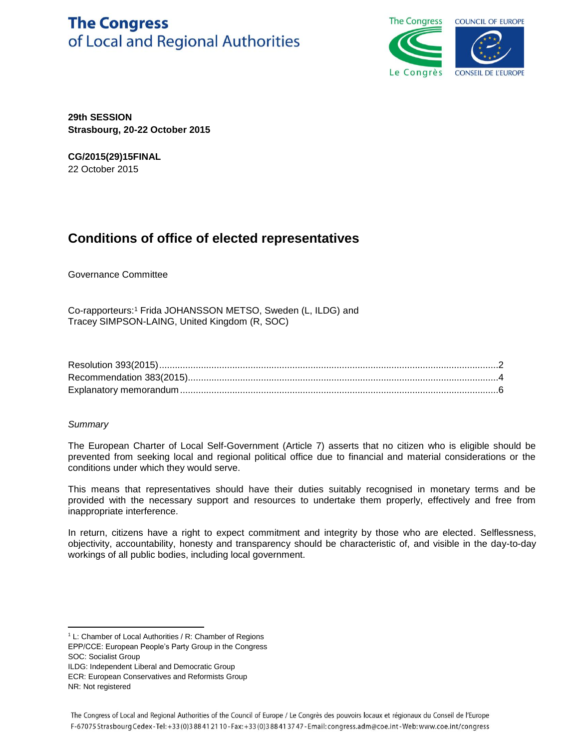# **The Congress** of Local and Regional Authorities



**29th SESSION Strasbourg, 20-22 October 2015**

**CG/2015(29)15FINAL** 22 October 2015

# **Conditions of office of elected representatives**

Governance Committee

Co-rapporteurs:<sup>1</sup> Frida JOHANSSON METSO, Sweden (L, ILDG) and Tracey SIMPSON-LAING, United Kingdom (R, SOC)

# *Summary*

The European Charter of Local Self-Government (Article 7) asserts that no citizen who is eligible should be prevented from seeking local and regional political office due to financial and material considerations or the conditions under which they would serve.

This means that representatives should have their duties suitably recognised in monetary terms and be provided with the necessary support and resources to undertake them properly, effectively and free from inappropriate interference.

In return, citizens have a right to expect commitment and integrity by those who are elected. Selflessness, objectivity, accountability, honesty and transparency should be characteristic of, and visible in the day-to-day workings of all public bodies, including local government.

 $\overline{a}$ <sup>1</sup> L: Chamber of Local Authorities / R: Chamber of Regions

EPP/CCE: European People's Party Group in the Congress SOC: Socialist Group

ILDG: Independent Liberal and Democratic Group

ECR: European Conservatives and Reformists Group

NR: Not registered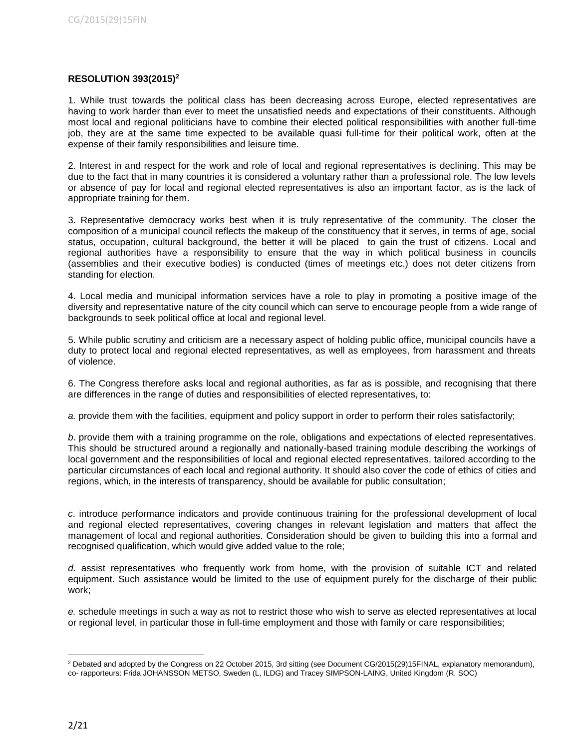## **RESOLUTION 393(2015)<sup>2</sup>**

1. While trust towards the political class has been decreasing across Europe, elected representatives are having to work harder than ever to meet the unsatisfied needs and expectations of their constituents. Although most local and regional politicians have to combine their elected political responsibilities with another full-time job, they are at the same time expected to be available quasi full-time for their political work, often at the expense of their family responsibilities and leisure time.

2. Interest in and respect for the work and role of local and regional representatives is declining. This may be due to the fact that in many countries it is considered a voluntary rather than a professional role. The low levels or absence of pay for local and regional elected representatives is also an important factor, as is the lack of appropriate training for them.

3. Representative democracy works best when it is truly representative of the community. The closer the composition of a municipal council reflects the makeup of the constituency that it serves, in terms of age, social status, occupation, cultural background, the better it will be placed to gain the trust of citizens. Local and regional authorities have a responsibility to ensure that the way in which political business in councils (assemblies and their executive bodies) is conducted (times of meetings etc.) does not deter citizens from standing for election.

4. Local media and municipal information services have a role to play in promoting a positive image of the diversity and representative nature of the city council which can serve to encourage people from a wide range of backgrounds to seek political office at local and regional level.

5. While public scrutiny and criticism are a necessary aspect of holding public office, municipal councils have a duty to protect local and regional elected representatives, as well as employees, from harassment and threats of violence.

6. The Congress therefore asks local and regional authorities, as far as is possible, and recognising that there are differences in the range of duties and responsibilities of elected representatives, to:

*a.* provide them with the facilities, equipment and policy support in order to perform their roles satisfactorily;

*b*. provide them with a training programme on the role, obligations and expectations of elected representatives. This should be structured around a regionally and nationally-based training module describing the workings of local government and the responsibilities of local and regional elected representatives, tailored according to the particular circumstances of each local and regional authority. It should also cover the code of ethics of cities and regions, which, in the interests of transparency, should be available for public consultation;

*c*. introduce performance indicators and provide continuous training for the professional development of local and regional elected representatives, covering changes in relevant legislation and matters that affect the management of local and regional authorities. Consideration should be given to building this into a formal and recognised qualification, which would give added value to the role;

*d.* assist representatives who frequently work from home, with the provision of suitable ICT and related equipment. Such assistance would be limited to the use of equipment purely for the discharge of their public work;

*e.* schedule meetings in such a way as not to restrict those who wish to serve as elected representatives at local or regional level, in particular those in full-time employment and those with family or care responsibilities;

l  $2$  Debated and adopted by the Congress on 22 October 2015, 3rd sitting (see Document CG/2015(29)15FINAL, explanatory memorandum), co- rapporteurs: Frida JOHANSSON METSO, Sweden (L, ILDG) and Tracey SIMPSON-LAING, United Kingdom (R, SOC)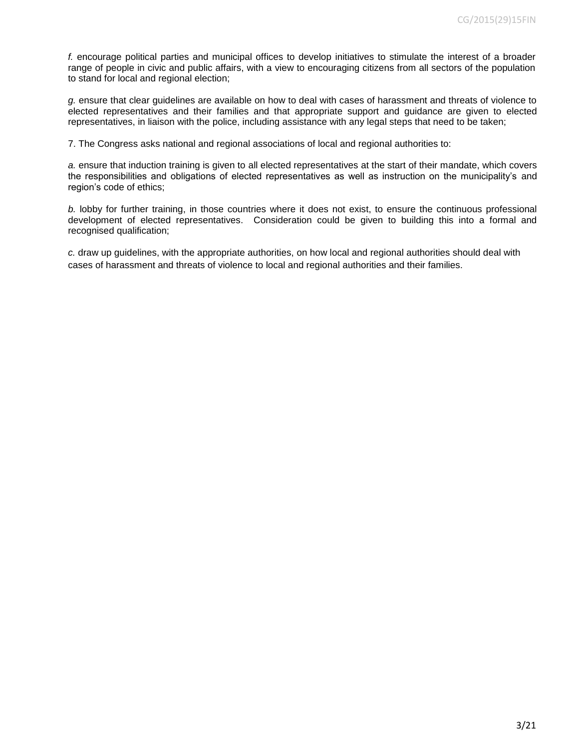*f.* encourage political parties and municipal offices to develop initiatives to stimulate the interest of a broader range of people in civic and public affairs, with a view to encouraging citizens from all sectors of the population to stand for local and regional election;

*g.* ensure that clear guidelines are available on how to deal with cases of harassment and threats of violence to elected representatives and their families and that appropriate support and guidance are given to elected representatives, in liaison with the police, including assistance with any legal steps that need to be taken;

7. The Congress asks national and regional associations of local and regional authorities to:

*a.* ensure that induction training is given to all elected representatives at the start of their mandate, which covers the responsibilities and obligations of elected representatives as well as instruction on the municipality's and region's code of ethics;

*b.* lobby for further training, in those countries where it does not exist, to ensure the continuous professional development of elected representatives. Consideration could be given to building this into a formal and recognised qualification;

*c.* draw up guidelines, with the appropriate authorities, on how local and regional authorities should deal with cases of harassment and threats of violence to local and regional authorities and their families.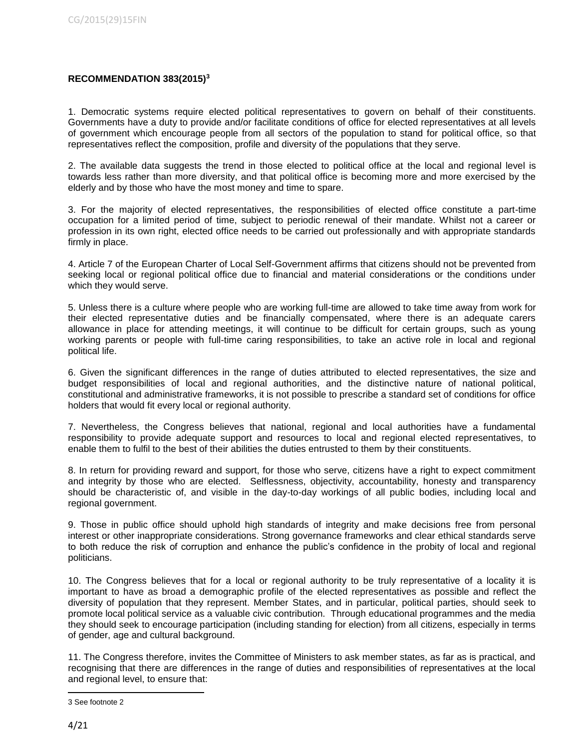## **RECOMMENDATION 383(2015)<sup>3</sup>**

1. Democratic systems require elected political representatives to govern on behalf of their constituents. Governments have a duty to provide and/or facilitate conditions of office for elected representatives at all levels of government which encourage people from all sectors of the population to stand for political office, so that representatives reflect the composition, profile and diversity of the populations that they serve.

2. The available data suggests the trend in those elected to political office at the local and regional level is towards less rather than more diversity, and that political office is becoming more and more exercised by the elderly and by those who have the most money and time to spare.

3. For the majority of elected representatives, the responsibilities of elected office constitute a part-time occupation for a limited period of time, subject to periodic renewal of their mandate. Whilst not a career or profession in its own right, elected office needs to be carried out professionally and with appropriate standards firmly in place.

4. Article 7 of the European Charter of Local Self-Government affirms that citizens should not be prevented from seeking local or regional political office due to financial and material considerations or the conditions under which they would serve.

5. Unless there is a culture where people who are working full-time are allowed to take time away from work for their elected representative duties and be financially compensated, where there is an adequate carers allowance in place for attending meetings, it will continue to be difficult for certain groups, such as young working parents or people with full-time caring responsibilities, to take an active role in local and regional political life.

6. Given the significant differences in the range of duties attributed to elected representatives, the size and budget responsibilities of local and regional authorities, and the distinctive nature of national political, constitutional and administrative frameworks, it is not possible to prescribe a standard set of conditions for office holders that would fit every local or regional authority.

7. Nevertheless, the Congress believes that national, regional and local authorities have a fundamental responsibility to provide adequate support and resources to local and regional elected representatives, to enable them to fulfil to the best of their abilities the duties entrusted to them by their constituents.

8. In return for providing reward and support, for those who serve, citizens have a right to expect commitment and integrity by those who are elected. Selflessness, objectivity, accountability, honesty and transparency should be characteristic of, and visible in the day-to-day workings of all public bodies, including local and regional government.

9. Those in public office should uphold high standards of integrity and make decisions free from personal interest or other inappropriate considerations. Strong governance frameworks and clear ethical standards serve to both reduce the risk of corruption and enhance the public's confidence in the probity of local and regional politicians.

10. The Congress believes that for a local or regional authority to be truly representative of a locality it is important to have as broad a demographic profile of the elected representatives as possible and reflect the diversity of population that they represent. Member States, and in particular, political parties, should seek to promote local political service as a valuable civic contribution. Through educational programmes and the media they should seek to encourage participation (including standing for election) from all citizens, especially in terms of gender, age and cultural background.

11. The Congress therefore, invites the Committee of Ministers to ask member states, as far as is practical, and recognising that there are differences in the range of duties and responsibilities of representatives at the local and regional level, to ensure that:

 $\overline{\phantom{a}}$ 3 See footnote 2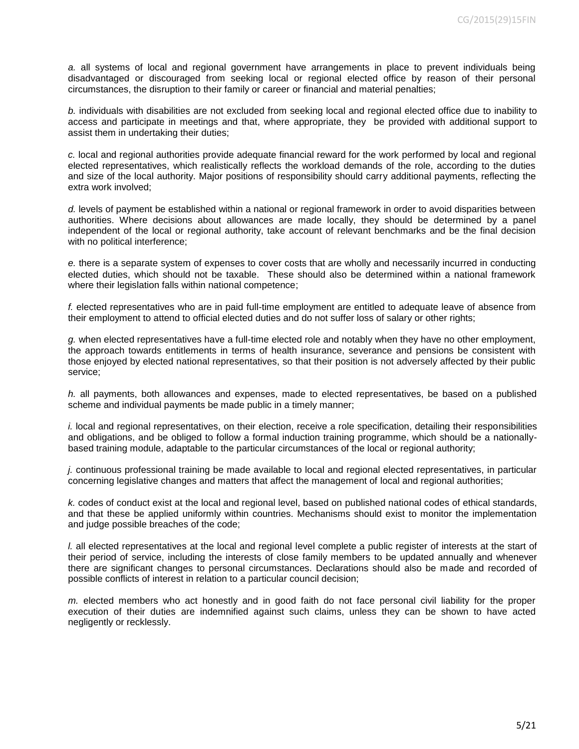*a.* all systems of local and regional government have arrangements in place to prevent individuals being disadvantaged or discouraged from seeking local or regional elected office by reason of their personal circumstances, the disruption to their family or career or financial and material penalties;

*b.* individuals with disabilities are not excluded from seeking local and regional elected office due to inability to access and participate in meetings and that, where appropriate, they be provided with additional support to assist them in undertaking their duties;

*c.* local and regional authorities provide adequate financial reward for the work performed by local and regional elected representatives, which realistically reflects the workload demands of the role, according to the duties and size of the local authority. Major positions of responsibility should carry additional payments, reflecting the extra work involved;

*d.* levels of payment be established within a national or regional framework in order to avoid disparities between authorities. Where decisions about allowances are made locally, they should be determined by a panel independent of the local or regional authority, take account of relevant benchmarks and be the final decision with no political interference;

*e.* there is a separate system of expenses to cover costs that are wholly and necessarily incurred in conducting elected duties, which should not be taxable. These should also be determined within a national framework where their legislation falls within national competence;

*f.* elected representatives who are in paid full-time employment are entitled to adequate leave of absence from their employment to attend to official elected duties and do not suffer loss of salary or other rights;

*g.* when elected representatives have a full-time elected role and notably when they have no other employment, the approach towards entitlements in terms of health insurance, severance and pensions be consistent with those enjoyed by elected national representatives, so that their position is not adversely affected by their public service;

*h.* all payments, both allowances and expenses, made to elected representatives, be based on a published scheme and individual payments be made public in a timely manner;

*i.* local and regional representatives, on their election, receive a role specification, detailing their responsibilities and obligations, and be obliged to follow a formal induction training programme, which should be a nationallybased training module, adaptable to the particular circumstances of the local or regional authority;

*j.* continuous professional training be made available to local and regional elected representatives, in particular concerning legislative changes and matters that affect the management of local and regional authorities;

*k.* codes of conduct exist at the local and regional level, based on published national codes of ethical standards, and that these be applied uniformly within countries. Mechanisms should exist to monitor the implementation and judge possible breaches of the code;

*l.* all elected representatives at the local and regional level complete a public register of interests at the start of their period of service, including the interests of close family members to be updated annually and whenever there are significant changes to personal circumstances. Declarations should also be made and recorded of possible conflicts of interest in relation to a particular council decision;

*m.* elected members who act honestly and in good faith do not face personal civil liability for the proper execution of their duties are indemnified against such claims, unless they can be shown to have acted negligently or recklessly.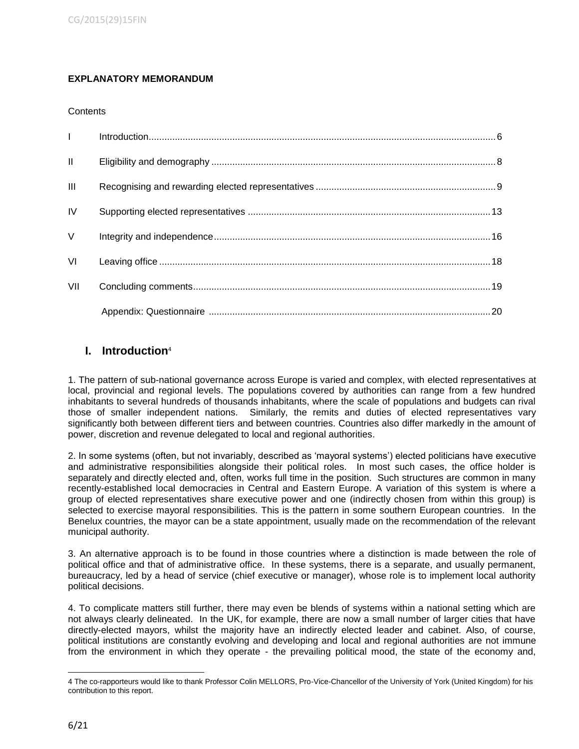# **EXPLANATORY MEMORANDUM**

## **Contents**

| $\mathbf{L}$   |  |
|----------------|--|
| $\mathbf{II}$  |  |
| $\mathbf{III}$ |  |
| IV             |  |
| $\vee$         |  |
| VI             |  |
| VII            |  |
|                |  |

# **I. Introduction**<sup>4</sup>

1. The pattern of sub-national governance across Europe is varied and complex, with elected representatives at local, provincial and regional levels. The populations covered by authorities can range from a few hundred inhabitants to several hundreds of thousands inhabitants, where the scale of populations and budgets can rival those of smaller independent nations. Similarly, the remits and duties of elected representatives vary significantly both between different tiers and between countries. Countries also differ markedly in the amount of power, discretion and revenue delegated to local and regional authorities.

2. In some systems (often, but not invariably, described as 'mayoral systems') elected politicians have executive and administrative responsibilities alongside their political roles. In most such cases, the office holder is separately and directly elected and, often, works full time in the position. Such structures are common in many recently-established local democracies in Central and Eastern Europe. A variation of this system is where a group of elected representatives share executive power and one (indirectly chosen from within this group) is selected to exercise mayoral responsibilities. This is the pattern in some southern European countries. In the Benelux countries, the mayor can be a state appointment, usually made on the recommendation of the relevant municipal authority.

3. An alternative approach is to be found in those countries where a distinction is made between the role of political office and that of administrative office. In these systems, there is a separate, and usually permanent, bureaucracy, led by a head of service (chief executive or manager), whose role is to implement local authority political decisions.

4. To complicate matters still further, there may even be blends of systems within a national setting which are not always clearly delineated. In the UK, for example, there are now a small number of larger cities that have directly-elected mayors, whilst the majority have an indirectly elected leader and cabinet. Also, of course, political institutions are constantly evolving and developing and local and regional authorities are not immune from the environment in which they operate - the prevailing political mood, the state of the economy and,

l 4 The co-rapporteurs would like to thank Professor Colin MELLORS, Pro-Vice-Chancellor of the University of York (United Kingdom) for his contribution to this report.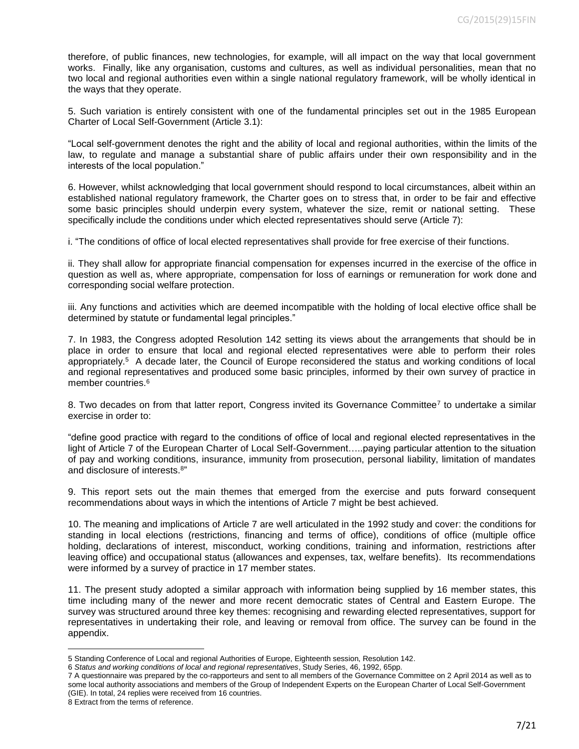therefore, of public finances, new technologies, for example, will all impact on the way that local government works. Finally, like any organisation, customs and cultures, as well as individual personalities, mean that no two local and regional authorities even within a single national regulatory framework, will be wholly identical in the ways that they operate.

5. Such variation is entirely consistent with one of the fundamental principles set out in the 1985 European Charter of Local Self-Government (Article 3.1):

"Local self-government denotes the right and the ability of local and regional authorities, within the limits of the law, to regulate and manage a substantial share of public affairs under their own responsibility and in the interests of the local population."

6. However, whilst acknowledging that local government should respond to local circumstances, albeit within an established national regulatory framework, the Charter goes on to stress that, in order to be fair and effective some basic principles should underpin every system, whatever the size, remit or national setting. These specifically include the conditions under which elected representatives should serve (Article 7):

i. "The conditions of office of local elected representatives shall provide for free exercise of their functions.

ii. They shall allow for appropriate financial compensation for expenses incurred in the exercise of the office in question as well as, where appropriate, compensation for loss of earnings or remuneration for work done and corresponding social welfare protection.

iii. Any functions and activities which are deemed incompatible with the holding of local elective office shall be determined by statute or fundamental legal principles."

7. In 1983, the Congress adopted Resolution 142 setting its views about the arrangements that should be in place in order to ensure that local and regional elected representatives were able to perform their roles appropriately.<sup>5</sup> A decade later, the Council of Europe reconsidered the status and working conditions of local and regional representatives and produced some basic principles, informed by their own survey of practice in member countries.<sup>6</sup>

8. Two decades on from that latter report, Congress invited its Governance Committee<sup>7</sup> to undertake a similar exercise in order to:

"define good practice with regard to the conditions of office of local and regional elected representatives in the light of Article 7 of the European Charter of Local Self-Government…..paying particular attention to the situation of pay and working conditions, insurance, immunity from prosecution, personal liability, limitation of mandates and disclosure of interests.<sup>8"</sup>

9. This report sets out the main themes that emerged from the exercise and puts forward consequent recommendations about ways in which the intentions of Article 7 might be best achieved.

10. The meaning and implications of Article 7 are well articulated in the 1992 study and cover: the conditions for standing in local elections (restrictions, financing and terms of office), conditions of office (multiple office holding, declarations of interest, misconduct, working conditions, training and information, restrictions after leaving office) and occupational status (allowances and expenses, tax, welfare benefits). Its recommendations were informed by a survey of practice in 17 member states.

11. The present study adopted a similar approach with information being supplied by 16 member states, this time including many of the newer and more recent democratic states of Central and Eastern Europe. The survey was structured around three key themes: recognising and rewarding elected representatives, support for representatives in undertaking their role, and leaving or removal from office. The survey can be found in the appendix.

8 Extract from the terms of reference.

 $\overline{\phantom{a}}$ 

<sup>5</sup> Standing Conference of Local and regional Authorities of Europe, Eighteenth session, Resolution 142.

<sup>6</sup> *Status and working conditions of local and regional representatives*, Study Series, 46, 1992, 65pp.

<sup>7</sup> A questionnaire was prepared by the co-rapporteurs and sent to all members of the Governance Committee on 2 April 2014 as well as to some local authority associations and members of the Group of Independent Experts on the European Charter of Local Self-Government (GIE). In total, 24 replies were received from 16 countries.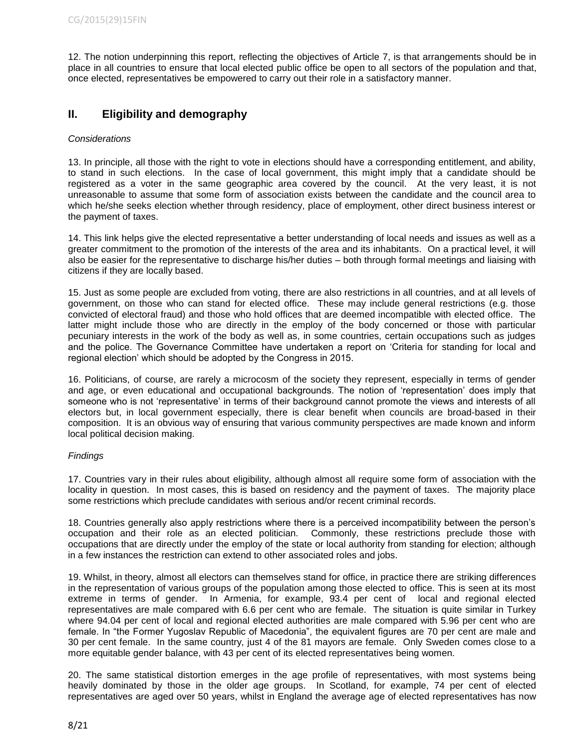12. The notion underpinning this report, reflecting the objectives of Article 7, is that arrangements should be in place in all countries to ensure that local elected public office be open to all sectors of the population and that, once elected, representatives be empowered to carry out their role in a satisfactory manner.

# **II. Eligibility and demography**

# *Considerations*

13. In principle, all those with the right to vote in elections should have a corresponding entitlement, and ability, to stand in such elections. In the case of local government, this might imply that a candidate should be registered as a voter in the same geographic area covered by the council. At the very least, it is not unreasonable to assume that some form of association exists between the candidate and the council area to which he/she seeks election whether through residency, place of employment, other direct business interest or the payment of taxes.

14. This link helps give the elected representative a better understanding of local needs and issues as well as a greater commitment to the promotion of the interests of the area and its inhabitants. On a practical level, it will also be easier for the representative to discharge his/her duties – both through formal meetings and liaising with citizens if they are locally based.

15. Just as some people are excluded from voting, there are also restrictions in all countries, and at all levels of government, on those who can stand for elected office. These may include general restrictions (e.g. those convicted of electoral fraud) and those who hold offices that are deemed incompatible with elected office. The latter might include those who are directly in the employ of the body concerned or those with particular pecuniary interests in the work of the body as well as, in some countries, certain occupations such as judges and the police. The Governance Committee have undertaken a report on 'Criteria for standing for local and regional election' which should be adopted by the Congress in 2015.

16. Politicians, of course, are rarely a microcosm of the society they represent, especially in terms of gender and age, or even educational and occupational backgrounds. The notion of 'representation' does imply that someone who is not 'representative' in terms of their background cannot promote the views and interests of all electors but, in local government especially, there is clear benefit when councils are broad-based in their composition. It is an obvious way of ensuring that various community perspectives are made known and inform local political decision making.

#### *Findings*

17. Countries vary in their rules about eligibility, although almost all require some form of association with the locality in question. In most cases, this is based on residency and the payment of taxes. The majority place some restrictions which preclude candidates with serious and/or recent criminal records.

18. Countries generally also apply restrictions where there is a perceived incompatibility between the person's occupation and their role as an elected politician. Commonly, these restrictions preclude those with occupations that are directly under the employ of the state or local authority from standing for election; although in a few instances the restriction can extend to other associated roles and jobs.

19. Whilst, in theory, almost all electors can themselves stand for office, in practice there are striking differences in the representation of various groups of the population among those elected to office. This is seen at its most extreme in terms of gender. In Armenia, for example, 93.4 per cent of local and regional elected representatives are male compared with 6.6 per cent who are female. The situation is quite similar in Turkey where 94.04 per cent of local and regional elected authorities are male compared with 5.96 per cent who are female. In "the Former Yugoslav Republic of Macedonia", the equivalent figures are 70 per cent are male and 30 per cent female. In the same country, just 4 of the 81 mayors are female. Only Sweden comes close to a more equitable gender balance, with 43 per cent of its elected representatives being women.

20. The same statistical distortion emerges in the age profile of representatives, with most systems being heavily dominated by those in the older age groups. In Scotland, for example, 74 per cent of elected representatives are aged over 50 years, whilst in England the average age of elected representatives has now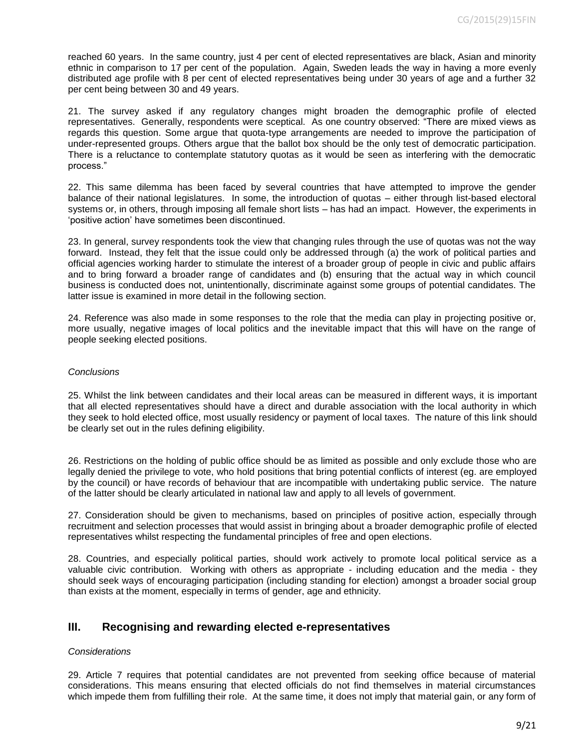reached 60 years. In the same country, just 4 per cent of elected representatives are black, Asian and minority ethnic in comparison to 17 per cent of the population. Again, Sweden leads the way in having a more evenly distributed age profile with 8 per cent of elected representatives being under 30 years of age and a further 32 per cent being between 30 and 49 years.

21. The survey asked if any regulatory changes might broaden the demographic profile of elected representatives. Generally, respondents were sceptical. As one country observed: "There are mixed views as regards this question. Some argue that quota-type arrangements are needed to improve the participation of under-represented groups. Others argue that the ballot box should be the only test of democratic participation. There is a reluctance to contemplate statutory quotas as it would be seen as interfering with the democratic process."

22. This same dilemma has been faced by several countries that have attempted to improve the gender balance of their national legislatures. In some, the introduction of quotas – either through list-based electoral systems or, in others, through imposing all female short lists – has had an impact. However, the experiments in 'positive action' have sometimes been discontinued.

23. In general, survey respondents took the view that changing rules through the use of quotas was not the way forward. Instead, they felt that the issue could only be addressed through (a) the work of political parties and official agencies working harder to stimulate the interest of a broader group of people in civic and public affairs and to bring forward a broader range of candidates and (b) ensuring that the actual way in which council business is conducted does not, unintentionally, discriminate against some groups of potential candidates. The latter issue is examined in more detail in the following section.

24. Reference was also made in some responses to the role that the media can play in projecting positive or, more usually, negative images of local politics and the inevitable impact that this will have on the range of people seeking elected positions.

#### *Conclusions*

25. Whilst the link between candidates and their local areas can be measured in different ways, it is important that all elected representatives should have a direct and durable association with the local authority in which they seek to hold elected office, most usually residency or payment of local taxes. The nature of this link should be clearly set out in the rules defining eligibility.

26. Restrictions on the holding of public office should be as limited as possible and only exclude those who are legally denied the privilege to vote, who hold positions that bring potential conflicts of interest (eg. are employed by the council) or have records of behaviour that are incompatible with undertaking public service. The nature of the latter should be clearly articulated in national law and apply to all levels of government.

27. Consideration should be given to mechanisms, based on principles of positive action, especially through recruitment and selection processes that would assist in bringing about a broader demographic profile of elected representatives whilst respecting the fundamental principles of free and open elections.

28. Countries, and especially political parties, should work actively to promote local political service as a valuable civic contribution. Working with others as appropriate - including education and the media - they should seek ways of encouraging participation (including standing for election) amongst a broader social group than exists at the moment, especially in terms of gender, age and ethnicity.

# **III. Recognising and rewarding elected e-representatives**

#### *Considerations*

29. Article 7 requires that potential candidates are not prevented from seeking office because of material considerations. This means ensuring that elected officials do not find themselves in material circumstances which impede them from fulfilling their role. At the same time, it does not imply that material gain, or any form of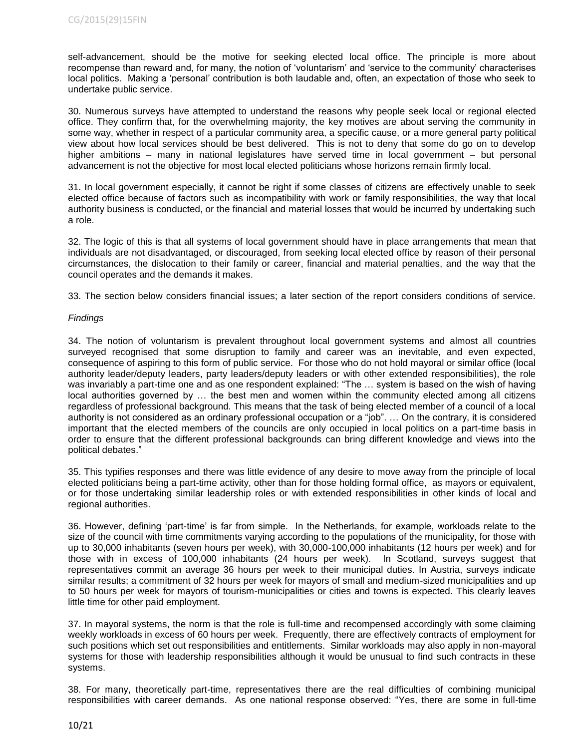self-advancement, should be the motive for seeking elected local office. The principle is more about recompense than reward and, for many, the notion of 'voluntarism' and 'service to the community' characterises local politics. Making a 'personal' contribution is both laudable and, often, an expectation of those who seek to undertake public service.

30. Numerous surveys have attempted to understand the reasons why people seek local or regional elected office. They confirm that, for the overwhelming majority, the key motives are about serving the community in some way, whether in respect of a particular community area, a specific cause, or a more general party political view about how local services should be best delivered. This is not to deny that some do go on to develop higher ambitions – many in national legislatures have served time in local government – but personal advancement is not the objective for most local elected politicians whose horizons remain firmly local.

31. In local government especially, it cannot be right if some classes of citizens are effectively unable to seek elected office because of factors such as incompatibility with work or family responsibilities, the way that local authority business is conducted, or the financial and material losses that would be incurred by undertaking such a role.

32. The logic of this is that all systems of local government should have in place arrangements that mean that individuals are not disadvantaged, or discouraged, from seeking local elected office by reason of their personal circumstances, the dislocation to their family or career, financial and material penalties, and the way that the council operates and the demands it makes.

33. The section below considers financial issues; a later section of the report considers conditions of service.

## *Findings*

34. The notion of voluntarism is prevalent throughout local government systems and almost all countries surveyed recognised that some disruption to family and career was an inevitable, and even expected, consequence of aspiring to this form of public service. For those who do not hold mayoral or similar office (local authority leader/deputy leaders, party leaders/deputy leaders or with other extended responsibilities), the role was invariably a part-time one and as one respondent explained: "The … system is based on the wish of having local authorities governed by … the best men and women within the community elected among all citizens regardless of professional background. This means that the task of being elected member of a council of a local authority is not considered as an ordinary professional occupation or a "job". … On the contrary, it is considered important that the elected members of the councils are only occupied in local politics on a part-time basis in order to ensure that the different professional backgrounds can bring different knowledge and views into the political debates."

35. This typifies responses and there was little evidence of any desire to move away from the principle of local elected politicians being a part-time activity, other than for those holding formal office, as mayors or equivalent, or for those undertaking similar leadership roles or with extended responsibilities in other kinds of local and regional authorities.

36. However, defining 'part-time' is far from simple. In the Netherlands, for example, workloads relate to the size of the council with time commitments varying according to the populations of the municipality, for those with up to 30,000 inhabitants (seven hours per week), with 30,000-100,000 inhabitants (12 hours per week) and for those with in excess of 100,000 inhabitants (24 hours per week). In Scotland, surveys suggest that representatives commit an average 36 hours per week to their municipal duties. In Austria, surveys indicate similar results; a commitment of 32 hours per week for mayors of small and medium-sized municipalities and up to 50 hours per week for mayors of tourism-municipalities or cities and towns is expected. This clearly leaves little time for other paid employment.

37. In mayoral systems, the norm is that the role is full-time and recompensed accordingly with some claiming weekly workloads in excess of 60 hours per week. Frequently, there are effectively contracts of employment for such positions which set out responsibilities and entitlements. Similar workloads may also apply in non-mayoral systems for those with leadership responsibilities although it would be unusual to find such contracts in these systems.

38. For many, theoretically part-time, representatives there are the real difficulties of combining municipal responsibilities with career demands. As one national response observed: "Yes, there are some in full-time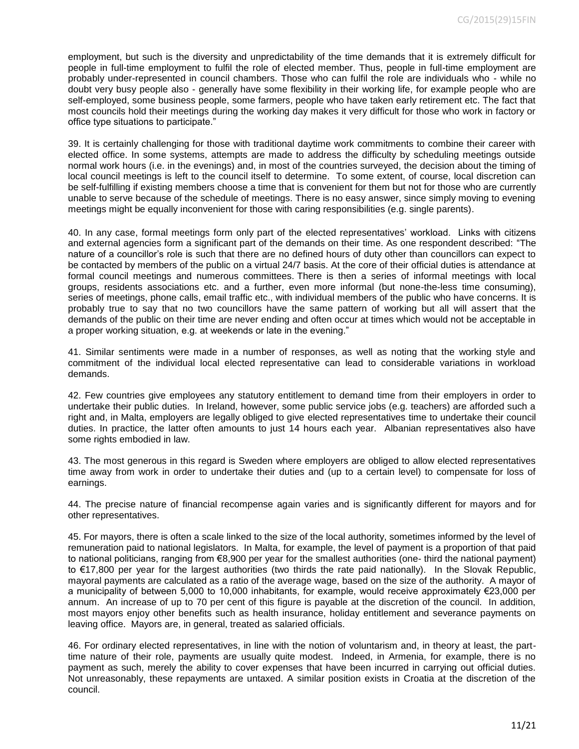employment, but such is the diversity and unpredictability of the time demands that it is extremely difficult for people in full-time employment to fulfil the role of elected member. Thus, people in full-time employment are probably under-represented in council chambers. Those who can fulfil the role are individuals who - while no doubt very busy people also - generally have some flexibility in their working life, for example people who are self-employed, some business people, some farmers, people who have taken early retirement etc. The fact that most councils hold their meetings during the working day makes it very difficult for those who work in factory or office type situations to participate."

39. It is certainly challenging for those with traditional daytime work commitments to combine their career with elected office. In some systems, attempts are made to address the difficulty by scheduling meetings outside normal work hours (i.e. in the evenings) and, in most of the countries surveyed, the decision about the timing of local council meetings is left to the council itself to determine. To some extent, of course, local discretion can be self-fulfilling if existing members choose a time that is convenient for them but not for those who are currently unable to serve because of the schedule of meetings. There is no easy answer, since simply moving to evening meetings might be equally inconvenient for those with caring responsibilities (e.g. single parents).

40. In any case, formal meetings form only part of the elected representatives' workload. Links with citizens and external agencies form a significant part of the demands on their time. As one respondent described: "The nature of a councillor's role is such that there are no defined hours of duty other than councillors can expect to be contacted by members of the public on a virtual 24/7 basis. At the core of their official duties is attendance at formal council meetings and numerous committees. There is then a series of informal meetings with local groups, residents associations etc. and a further, even more informal (but none-the-less time consuming), series of meetings, phone calls, email traffic etc., with individual members of the public who have concerns. It is probably true to say that no two councillors have the same pattern of working but all will assert that the demands of the public on their time are never ending and often occur at times which would not be acceptable in a proper working situation, e.g. at weekends or late in the evening."

41. Similar sentiments were made in a number of responses, as well as noting that the working style and commitment of the individual local elected representative can lead to considerable variations in workload demands.

42. Few countries give employees any statutory entitlement to demand time from their employers in order to undertake their public duties. In Ireland, however, some public service jobs (e.g. teachers) are afforded such a right and, in Malta, employers are legally obliged to give elected representatives time to undertake their council duties. In practice, the latter often amounts to just 14 hours each year. Albanian representatives also have some rights embodied in law.

43. The most generous in this regard is Sweden where employers are obliged to allow elected representatives time away from work in order to undertake their duties and (up to a certain level) to compensate for loss of earnings.

44. The precise nature of financial recompense again varies and is significantly different for mayors and for other representatives.

45. For mayors, there is often a scale linked to the size of the local authority, sometimes informed by the level of remuneration paid to national legislators. In Malta, for example, the level of payment is a proportion of that paid to national politicians, ranging from €8,900 per year for the smallest authorities (one- third the national payment) to €17,800 per year for the largest authorities (two thirds the rate paid nationally). In the Slovak Republic, mayoral payments are calculated as a ratio of the average wage, based on the size of the authority. A mayor of a municipality of between 5,000 to 10,000 inhabitants, for example, would receive approximately €23,000 per annum. An increase of up to 70 per cent of this figure is payable at the discretion of the council. In addition, most mayors enjoy other benefits such as health insurance, holiday entitlement and severance payments on leaving office. Mayors are, in general, treated as salaried officials.

46. For ordinary elected representatives, in line with the notion of voluntarism and, in theory at least, the parttime nature of their role, payments are usually quite modest. Indeed, in Armenia, for example, there is no payment as such, merely the ability to cover expenses that have been incurred in carrying out official duties. Not unreasonably, these repayments are untaxed. A similar position exists in Croatia at the discretion of the council.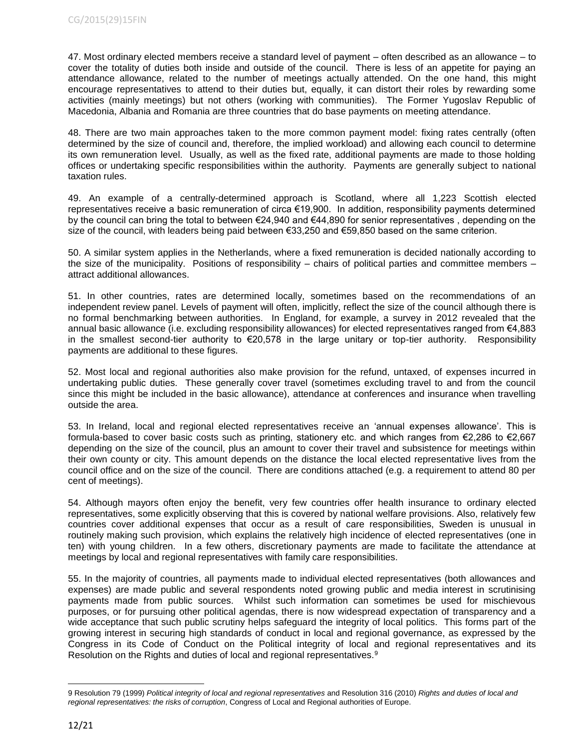47. Most ordinary elected members receive a standard level of payment – often described as an allowance – to cover the totality of duties both inside and outside of the council. There is less of an appetite for paying an attendance allowance, related to the number of meetings actually attended. On the one hand, this might encourage representatives to attend to their duties but, equally, it can distort their roles by rewarding some activities (mainly meetings) but not others (working with communities). The Former Yugoslav Republic of Macedonia, Albania and Romania are three countries that do base payments on meeting attendance.

48. There are two main approaches taken to the more common payment model: fixing rates centrally (often determined by the size of council and, therefore, the implied workload) and allowing each council to determine its own remuneration level. Usually, as well as the fixed rate, additional payments are made to those holding offices or undertaking specific responsibilities within the authority. Payments are generally subject to national taxation rules.

49. An example of a centrally-determined approach is Scotland, where all 1,223 Scottish elected representatives receive a basic remuneration of circa €19,900. In addition, responsibility payments determined by the council can bring the total to between €24,940 and €44,890 for senior representatives , depending on the size of the council, with leaders being paid between €33,250 and €59,850 based on the same criterion.

50. A similar system applies in the Netherlands, where a fixed remuneration is decided nationally according to the size of the municipality. Positions of responsibility – chairs of political parties and committee members – attract additional allowances.

51. In other countries, rates are determined locally, sometimes based on the recommendations of an independent review panel. Levels of payment will often, implicitly, reflect the size of the council although there is no formal benchmarking between authorities. In England, for example, a survey in 2012 revealed that the annual basic allowance (i.e. excluding responsibility allowances) for elected representatives ranged from €4,883 in the smallest second-tier authority to €20,578 in the large unitary or top-tier authority. Responsibility payments are additional to these figures.

52. Most local and regional authorities also make provision for the refund, untaxed, of expenses incurred in undertaking public duties. These generally cover travel (sometimes excluding travel to and from the council since this might be included in the basic allowance), attendance at conferences and insurance when travelling outside the area.

53. In Ireland, local and regional elected representatives receive an 'annual expenses allowance'. This is formula-based to cover basic costs such as printing, stationery etc. and which ranges from €2,286 to €2,667 depending on the size of the council, plus an amount to cover their travel and subsistence for meetings within their own county or city. This amount depends on the distance the local elected representative lives from the council office and on the size of the council. There are conditions attached (e.g. a requirement to attend 80 per cent of meetings).

54. Although mayors often enjoy the benefit, very few countries offer health insurance to ordinary elected representatives, some explicitly observing that this is covered by national welfare provisions. Also, relatively few countries cover additional expenses that occur as a result of care responsibilities, Sweden is unusual in routinely making such provision, which explains the relatively high incidence of elected representatives (one in ten) with young children. In a few others, discretionary payments are made to facilitate the attendance at meetings by local and regional representatives with family care responsibilities.

55. In the majority of countries, all payments made to individual elected representatives (both allowances and expenses) are made public and several respondents noted growing public and media interest in scrutinising payments made from public sources. Whilst such information can sometimes be used for mischievous purposes, or for pursuing other political agendas, there is now widespread expectation of transparency and a wide acceptance that such public scrutiny helps safeguard the integrity of local politics. This forms part of the growing interest in securing high standards of conduct in local and regional governance, as expressed by the Congress in its Code of Conduct on the Political integrity of local and regional representatives and its Resolution on the Rights and duties of local and regional representatives.<sup>9</sup>

 $\overline{a}$ 

<sup>9</sup> Resolution 79 (1999) *Political integrity of local and regional representatives* and Resolution 316 (2010) *Rights and duties of local and regional representatives: the risks of corruption*, Congress of Local and Regional authorities of Europe.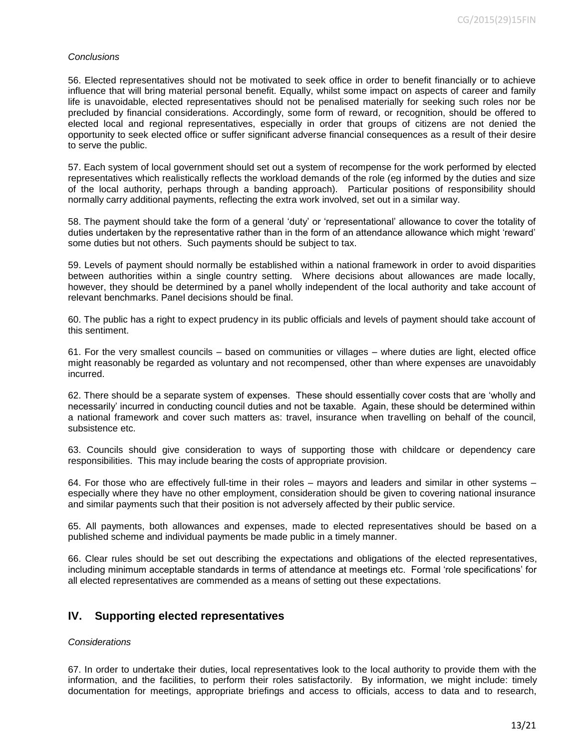#### *Conclusions*

56. Elected representatives should not be motivated to seek office in order to benefit financially or to achieve influence that will bring material personal benefit. Equally, whilst some impact on aspects of career and family life is unavoidable, elected representatives should not be penalised materially for seeking such roles nor be precluded by financial considerations. Accordingly, some form of reward, or recognition, should be offered to elected local and regional representatives, especially in order that groups of citizens are not denied the opportunity to seek elected office or suffer significant adverse financial consequences as a result of their desire to serve the public.

57. Each system of local government should set out a system of recompense for the work performed by elected representatives which realistically reflects the workload demands of the role (eg informed by the duties and size of the local authority, perhaps through a banding approach). Particular positions of responsibility should normally carry additional payments, reflecting the extra work involved, set out in a similar way.

58. The payment should take the form of a general 'duty' or 'representational' allowance to cover the totality of duties undertaken by the representative rather than in the form of an attendance allowance which might 'reward' some duties but not others. Such payments should be subject to tax.

59. Levels of payment should normally be established within a national framework in order to avoid disparities between authorities within a single country setting. Where decisions about allowances are made locally, however, they should be determined by a panel wholly independent of the local authority and take account of relevant benchmarks. Panel decisions should be final.

60. The public has a right to expect prudency in its public officials and levels of payment should take account of this sentiment.

61. For the very smallest councils – based on communities or villages – where duties are light, elected office might reasonably be regarded as voluntary and not recompensed, other than where expenses are unavoidably incurred.

62. There should be a separate system of expenses. These should essentially cover costs that are 'wholly and necessarily' incurred in conducting council duties and not be taxable. Again, these should be determined within a national framework and cover such matters as: travel, insurance when travelling on behalf of the council, subsistence etc.

63. Councils should give consideration to ways of supporting those with childcare or dependency care responsibilities. This may include bearing the costs of appropriate provision.

64. For those who are effectively full-time in their roles – mayors and leaders and similar in other systems – especially where they have no other employment, consideration should be given to covering national insurance and similar payments such that their position is not adversely affected by their public service.

65. All payments, both allowances and expenses, made to elected representatives should be based on a published scheme and individual payments be made public in a timely manner.

66. Clear rules should be set out describing the expectations and obligations of the elected representatives, including minimum acceptable standards in terms of attendance at meetings etc. Formal 'role specifications' for all elected representatives are commended as a means of setting out these expectations.

# **IV. Supporting elected representatives**

#### *Considerations*

67. In order to undertake their duties, local representatives look to the local authority to provide them with the information, and the facilities, to perform their roles satisfactorily. By information, we might include: timely documentation for meetings, appropriate briefings and access to officials, access to data and to research,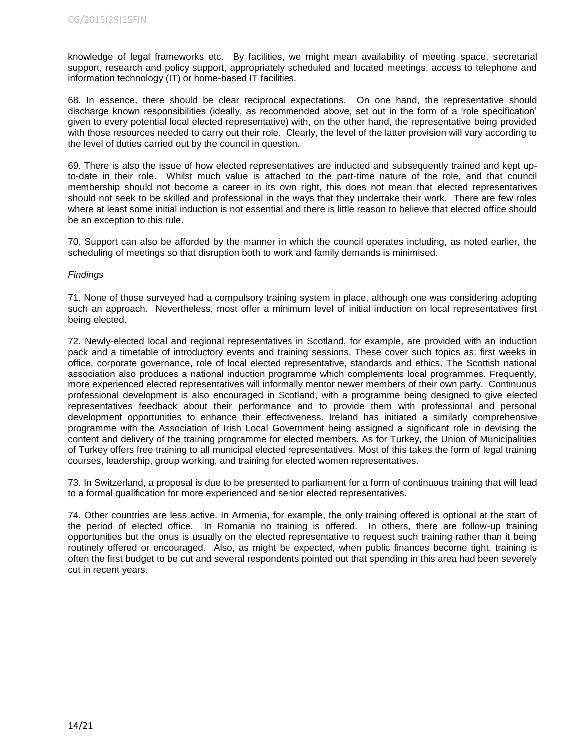knowledge of legal frameworks etc. By facilities, we might mean availability of meeting space, secretarial support, research and policy support, appropriately scheduled and located meetings, access to telephone and information technology (IT) or home-based IT facilities.

68. In essence, there should be clear reciprocal expectations. On one hand, the representative should discharge known responsibilities (ideally, as recommended above, set out in the form of a 'role specification' given to every potential local elected representative) with, on the other hand, the representative being provided with those resources needed to carry out their role. Clearly, the level of the latter provision will vary according to the level of duties carried out by the council in question.

69. There is also the issue of how elected representatives are inducted and subsequently trained and kept upto-date in their role. Whilst much value is attached to the part-time nature of the role, and that council membership should not become a career in its own right, this does not mean that elected representatives should not seek to be skilled and professional in the ways that they undertake their work. There are few roles where at least some initial induction is not essential and there is little reason to believe that elected office should be an exception to this rule.

70. Support can also be afforded by the manner in which the council operates including, as noted earlier, the scheduling of meetings so that disruption both to work and family demands is minimised.

## *Findings*

71. None of those surveyed had a compulsory training system in place, although one was considering adopting such an approach. Nevertheless, most offer a minimum level of initial induction on local representatives first being elected.

72. Newly-elected local and regional representatives in Scotland, for example, are provided with an induction pack and a timetable of introductory events and training sessions. These cover such topics as: first weeks in office, corporate governance, role of local elected representative, standards and ethics. The Scottish national association also produces a national induction programme which complements local programmes. Frequently, more experienced elected representatives will informally mentor newer members of their own party. Continuous professional development is also encouraged in Scotland, with a programme being designed to give elected representatives feedback about their performance and to provide them with professional and personal development opportunities to enhance their effectiveness. Ireland has initiated a similarly comprehensive programme with the Association of Irish Local Government being assigned a significant role in devising the content and delivery of the training programme for elected members. As for Turkey, the Union of Municipalities of Turkey offers free training to all municipal elected representatives. Most of this takes the form of legal training courses, leadership, group working, and training for elected women representatives.

73. In Switzerland, a proposal is due to be presented to parliament for a form of continuous training that will lead to a formal qualification for more experienced and senior elected representatives.

74. Other countries are less active. In Armenia, for example, the only training offered is optional at the start of the period of elected office. In Romania no training is offered. In others, there are follow-up training opportunities but the onus is usually on the elected representative to request such training rather than it being routinely offered or encouraged. Also, as might be expected, when public finances become tight, training is often the first budget to be cut and several respondents pointed out that spending in this area had been severely cut in recent years.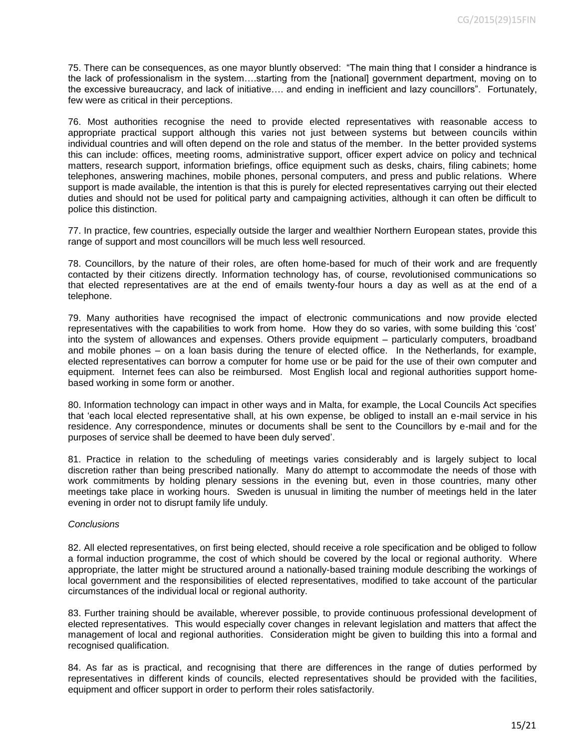75. There can be consequences, as one mayor bluntly observed: "The main thing that I consider a hindrance is the lack of professionalism in the system….starting from the [national] government department, moving on to the excessive bureaucracy, and lack of initiative…. and ending in inefficient and lazy councillors".Fortunately, few were as critical in their perceptions.

76. Most authorities recognise the need to provide elected representatives with reasonable access to appropriate practical support although this varies not just between systems but between councils within individual countries and will often depend on the role and status of the member. In the better provided systems this can include: offices, meeting rooms, administrative support, officer expert advice on policy and technical matters, research support, information briefings, office equipment such as desks, chairs, filing cabinets; home telephones, answering machines, mobile phones, personal computers, and press and public relations. Where support is made available, the intention is that this is purely for elected representatives carrying out their elected duties and should not be used for political party and campaigning activities, although it can often be difficult to police this distinction.

77. In practice, few countries, especially outside the larger and wealthier Northern European states, provide this range of support and most councillors will be much less well resourced.

78. Councillors, by the nature of their roles, are often home-based for much of their work and are frequently contacted by their citizens directly. Information technology has, of course, revolutionised communications so that elected representatives are at the end of emails twenty-four hours a day as well as at the end of a telephone.

79. Many authorities have recognised the impact of electronic communications and now provide elected representatives with the capabilities to work from home. How they do so varies, with some building this 'cost' into the system of allowances and expenses. Others provide equipment – particularly computers, broadband and mobile phones – on a loan basis during the tenure of elected office. In the Netherlands, for example, elected representatives can borrow a computer for home use or be paid for the use of their own computer and equipment. Internet fees can also be reimbursed. Most English local and regional authorities support homebased working in some form or another.

80. Information technology can impact in other ways and in Malta, for example, the Local Councils Act specifies that 'each local elected representative shall, at his own expense, be obliged to install an e-mail service in his residence. Any correspondence, minutes or documents shall be sent to the Councillors by e-mail and for the purposes of service shall be deemed to have been duly served'.

81. Practice in relation to the scheduling of meetings varies considerably and is largely subject to local discretion rather than being prescribed nationally. Many do attempt to accommodate the needs of those with work commitments by holding plenary sessions in the evening but, even in those countries, many other meetings take place in working hours. Sweden is unusual in limiting the number of meetings held in the later evening in order not to disrupt family life unduly.

#### *Conclusions*

82. All elected representatives, on first being elected, should receive a role specification and be obliged to follow a formal induction programme, the cost of which should be covered by the local or regional authority. Where appropriate, the latter might be structured around a nationally-based training module describing the workings of local government and the responsibilities of elected representatives, modified to take account of the particular circumstances of the individual local or regional authority.

83. Further training should be available, wherever possible, to provide continuous professional development of elected representatives. This would especially cover changes in relevant legislation and matters that affect the management of local and regional authorities. Consideration might be given to building this into a formal and recognised qualification.

84. As far as is practical, and recognising that there are differences in the range of duties performed by representatives in different kinds of councils, elected representatives should be provided with the facilities, equipment and officer support in order to perform their roles satisfactorily.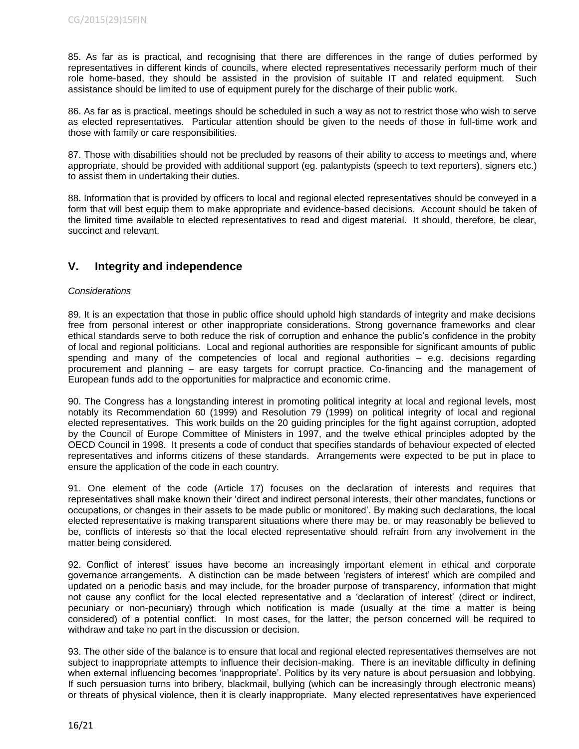85. As far as is practical, and recognising that there are differences in the range of duties performed by representatives in different kinds of councils, where elected representatives necessarily perform much of their role home-based, they should be assisted in the provision of suitable IT and related equipment. Such assistance should be limited to use of equipment purely for the discharge of their public work.

86. As far as is practical, meetings should be scheduled in such a way as not to restrict those who wish to serve as elected representatives. Particular attention should be given to the needs of those in full-time work and those with family or care responsibilities.

87. Those with disabilities should not be precluded by reasons of their ability to access to meetings and, where appropriate, should be provided with additional support (eg. palantypists (speech to text reporters), signers etc.) to assist them in undertaking their duties.

88. Information that is provided by officers to local and regional elected representatives should be conveyed in a form that will best equip them to make appropriate and evidence-based decisions. Account should be taken of the limited time available to elected representatives to read and digest material. It should, therefore, be clear, succinct and relevant.

# **V. Integrity and independence**

## *Considerations*

89. It is an expectation that those in public office should uphold high standards of integrity and make decisions free from personal interest or other inappropriate considerations. Strong governance frameworks and clear ethical standards serve to both reduce the risk of corruption and enhance the public's confidence in the probity of local and regional politicians. Local and regional authorities are responsible for significant amounts of public spending and many of the competencies of local and regional authorities – e.g. decisions regarding procurement and planning – are easy targets for corrupt practice. Co-financing and the management of European funds add to the opportunities for malpractice and economic crime.

90. The Congress has a longstanding interest in promoting political integrity at local and regional levels, most notably its Recommendation 60 (1999) and Resolution 79 (1999) on political integrity of local and regional elected representatives. This work builds on the 20 guiding principles for the fight against corruption, adopted by the Council of Europe Committee of Ministers in 1997, and the twelve ethical principles adopted by the OECD Council in 1998. It presents a code of conduct that specifies standards of behaviour expected of elected representatives and informs citizens of these standards. Arrangements were expected to be put in place to ensure the application of the code in each country.

91. One element of the code (Article 17) focuses on the declaration of interests and requires that representatives shall make known their 'direct and indirect personal interests, their other mandates, functions or occupations, or changes in their assets to be made public or monitored'. By making such declarations, the local elected representative is making transparent situations where there may be, or may reasonably be believed to be, conflicts of interests so that the local elected representative should refrain from any involvement in the matter being considered.

92. Conflict of interest' issues have become an increasingly important element in ethical and corporate governance arrangements. A distinction can be made between 'registers of interest' which are compiled and updated on a periodic basis and may include, for the broader purpose of transparency, information that might not cause any conflict for the local elected representative and a 'declaration of interest' (direct or indirect, pecuniary or non-pecuniary) through which notification is made (usually at the time a matter is being considered) of a potential conflict. In most cases, for the latter, the person concerned will be required to withdraw and take no part in the discussion or decision.

93. The other side of the balance is to ensure that local and regional elected representatives themselves are not subject to inappropriate attempts to influence their decision-making. There is an inevitable difficulty in defining when external influencing becomes 'inappropriate'. Politics by its very nature is about persuasion and lobbying. If such persuasion turns into bribery, blackmail, bullying (which can be increasingly through electronic means) or threats of physical violence, then it is clearly inappropriate. Many elected representatives have experienced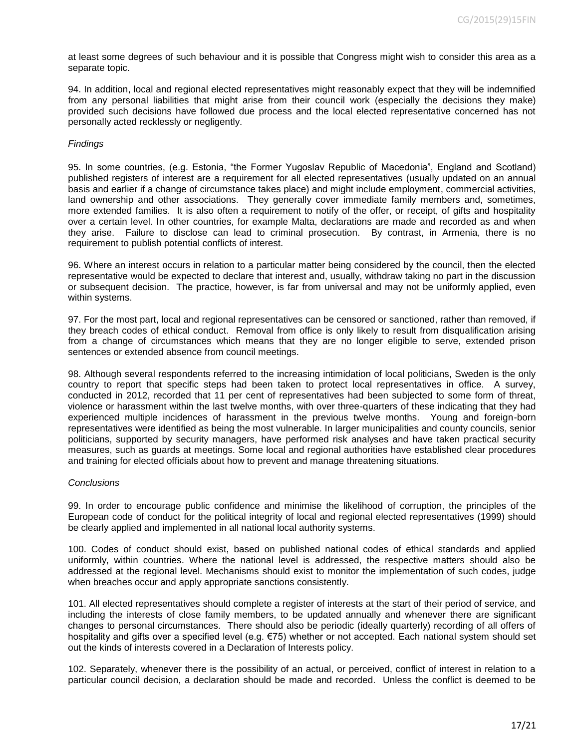at least some degrees of such behaviour and it is possible that Congress might wish to consider this area as a separate topic.

94. In addition, local and regional elected representatives might reasonably expect that they will be indemnified from any personal liabilities that might arise from their council work (especially the decisions they make) provided such decisions have followed due process and the local elected representative concerned has not personally acted recklessly or negligently.

#### *Findings*

95. In some countries, (e.g. Estonia, "the Former Yugoslav Republic of Macedonia", England and Scotland) published registers of interest are a requirement for all elected representatives (usually updated on an annual basis and earlier if a change of circumstance takes place) and might include employment, commercial activities, land ownership and other associations. They generally cover immediate family members and, sometimes, more extended families. It is also often a requirement to notify of the offer, or receipt, of gifts and hospitality over a certain level. In other countries, for example Malta, declarations are made and recorded as and when they arise. Failure to disclose can lead to criminal prosecution. By contrast, in Armenia, there is no requirement to publish potential conflicts of interest.

96. Where an interest occurs in relation to a particular matter being considered by the council, then the elected representative would be expected to declare that interest and, usually, withdraw taking no part in the discussion or subsequent decision. The practice, however, is far from universal and may not be uniformly applied, even within systems.

97. For the most part, local and regional representatives can be censored or sanctioned, rather than removed, if they breach codes of ethical conduct. Removal from office is only likely to result from disqualification arising from a change of circumstances which means that they are no longer eligible to serve, extended prison sentences or extended absence from council meetings.

98. Although several respondents referred to the increasing intimidation of local politicians, Sweden is the only country to report that specific steps had been taken to protect local representatives in office. A survey, conducted in 2012, recorded that 11 per cent of representatives had been subjected to some form of threat, violence or harassment within the last twelve months, with over three-quarters of these indicating that they had experienced multiple incidences of harassment in the previous twelve months. Young and foreign-born representatives were identified as being the most vulnerable. In larger municipalities and county councils, senior politicians, supported by security managers, have performed risk analyses and have taken practical security measures, such as guards at meetings. Some local and regional authorities have established clear procedures and training for elected officials about how to prevent and manage threatening situations.

#### *Conclusions*

99. In order to encourage public confidence and minimise the likelihood of corruption, the principles of the European code of conduct for the political integrity of local and regional elected representatives (1999) should be clearly applied and implemented in all national local authority systems.

100. Codes of conduct should exist, based on published national codes of ethical standards and applied uniformly, within countries. Where the national level is addressed, the respective matters should also be addressed at the regional level. Mechanisms should exist to monitor the implementation of such codes, judge when breaches occur and apply appropriate sanctions consistently.

101. All elected representatives should complete a register of interests at the start of their period of service, and including the interests of close family members, to be updated annually and whenever there are significant changes to personal circumstances. There should also be periodic (ideally quarterly) recording of all offers of hospitality and gifts over a specified level (e.g. €75) whether or not accepted. Each national system should set out the kinds of interests covered in a Declaration of Interests policy.

102. Separately, whenever there is the possibility of an actual, or perceived, conflict of interest in relation to a particular council decision, a declaration should be made and recorded. Unless the conflict is deemed to be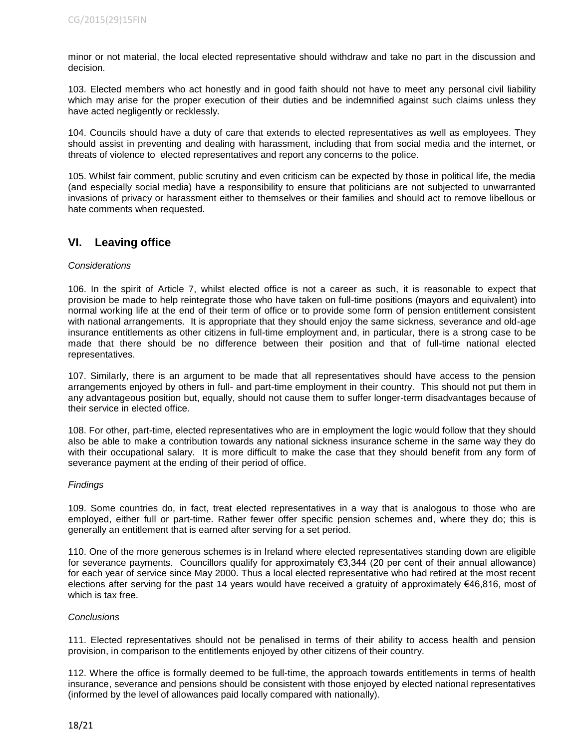minor or not material, the local elected representative should withdraw and take no part in the discussion and decision.

103. Elected members who act honestly and in good faith should not have to meet any personal civil liability which may arise for the proper execution of their duties and be indemnified against such claims unless they have acted negligently or recklessly.

104. Councils should have a duty of care that extends to elected representatives as well as employees. They should assist in preventing and dealing with harassment, including that from social media and the internet, or threats of violence to elected representatives and report any concerns to the police.

105. Whilst fair comment, public scrutiny and even criticism can be expected by those in political life, the media (and especially social media) have a responsibility to ensure that politicians are not subjected to unwarranted invasions of privacy or harassment either to themselves or their families and should act to remove libellous or hate comments when requested.

# **VI. Leaving office**

#### *Considerations*

106. In the spirit of Article 7, whilst elected office is not a career as such, it is reasonable to expect that provision be made to help reintegrate those who have taken on full-time positions (mayors and equivalent) into normal working life at the end of their term of office or to provide some form of pension entitlement consistent with national arrangements. It is appropriate that they should enjoy the same sickness, severance and old-age insurance entitlements as other citizens in full-time employment and, in particular, there is a strong case to be made that there should be no difference between their position and that of full-time national elected representatives.

107. Similarly, there is an argument to be made that all representatives should have access to the pension arrangements enjoyed by others in full- and part-time employment in their country. This should not put them in any advantageous position but, equally, should not cause them to suffer longer-term disadvantages because of their service in elected office.

108. For other, part-time, elected representatives who are in employment the logic would follow that they should also be able to make a contribution towards any national sickness insurance scheme in the same way they do with their occupational salary. It is more difficult to make the case that they should benefit from any form of severance payment at the ending of their period of office.

#### *Findings*

109. Some countries do, in fact, treat elected representatives in a way that is analogous to those who are employed, either full or part-time. Rather fewer offer specific pension schemes and, where they do; this is generally an entitlement that is earned after serving for a set period.

110. One of the more generous schemes is in Ireland where elected representatives standing down are eligible for severance payments. Councillors qualify for approximately €3,344 (20 per cent of their annual allowance) for each year of service since May 2000. Thus a local elected representative who had retired at the most recent elections after serving for the past 14 years would have received a gratuity of approximately €46,816, most of which is tax free.

#### *Conclusions*

111. Elected representatives should not be penalised in terms of their ability to access health and pension provision, in comparison to the entitlements enjoyed by other citizens of their country.

112. Where the office is formally deemed to be full-time, the approach towards entitlements in terms of health insurance, severance and pensions should be consistent with those enjoyed by elected national representatives (informed by the level of allowances paid locally compared with nationally).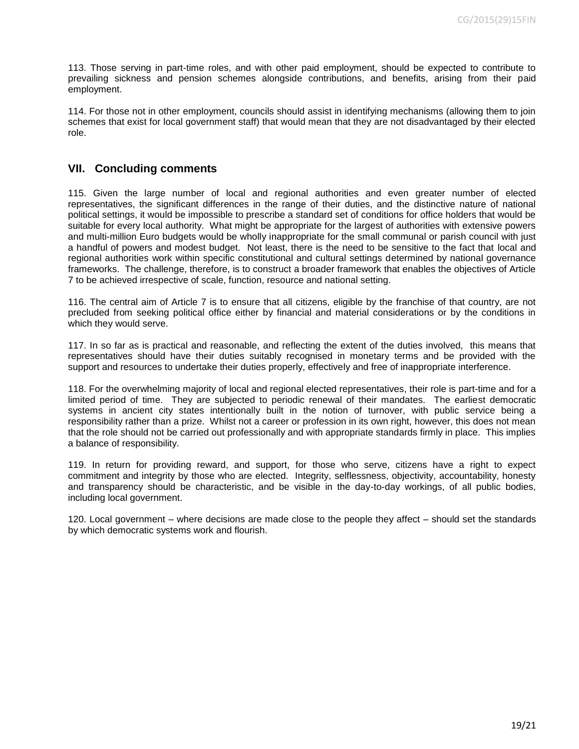113. Those serving in part-time roles, and with other paid employment, should be expected to contribute to prevailing sickness and pension schemes alongside contributions, and benefits, arising from their paid employment.

114. For those not in other employment, councils should assist in identifying mechanisms (allowing them to join schemes that exist for local government staff) that would mean that they are not disadvantaged by their elected role.

# **VII. Concluding comments**

115. Given the large number of local and regional authorities and even greater number of elected representatives, the significant differences in the range of their duties, and the distinctive nature of national political settings, it would be impossible to prescribe a standard set of conditions for office holders that would be suitable for every local authority. What might be appropriate for the largest of authorities with extensive powers and multi-million Euro budgets would be wholly inappropriate for the small communal or parish council with just a handful of powers and modest budget. Not least, there is the need to be sensitive to the fact that local and regional authorities work within specific constitutional and cultural settings determined by national governance frameworks. The challenge, therefore, is to construct a broader framework that enables the objectives of Article 7 to be achieved irrespective of scale, function, resource and national setting.

116. The central aim of Article 7 is to ensure that all citizens, eligible by the franchise of that country, are not precluded from seeking political office either by financial and material considerations or by the conditions in which they would serve.

117. In so far as is practical and reasonable, and reflecting the extent of the duties involved, this means that representatives should have their duties suitably recognised in monetary terms and be provided with the support and resources to undertake their duties properly, effectively and free of inappropriate interference.

118. For the overwhelming majority of local and regional elected representatives, their role is part-time and for a limited period of time. They are subjected to periodic renewal of their mandates. The earliest democratic systems in ancient city states intentionally built in the notion of turnover, with public service being a responsibility rather than a prize. Whilst not a career or profession in its own right, however, this does not mean that the role should not be carried out professionally and with appropriate standards firmly in place. This implies a balance of responsibility.

119. In return for providing reward, and support, for those who serve, citizens have a right to expect commitment and integrity by those who are elected. Integrity, selflessness, objectivity, accountability, honesty and transparency should be characteristic, and be visible in the day-to-day workings, of all public bodies, including local government.

120. Local government – where decisions are made close to the people they affect – should set the standards by which democratic systems work and flourish.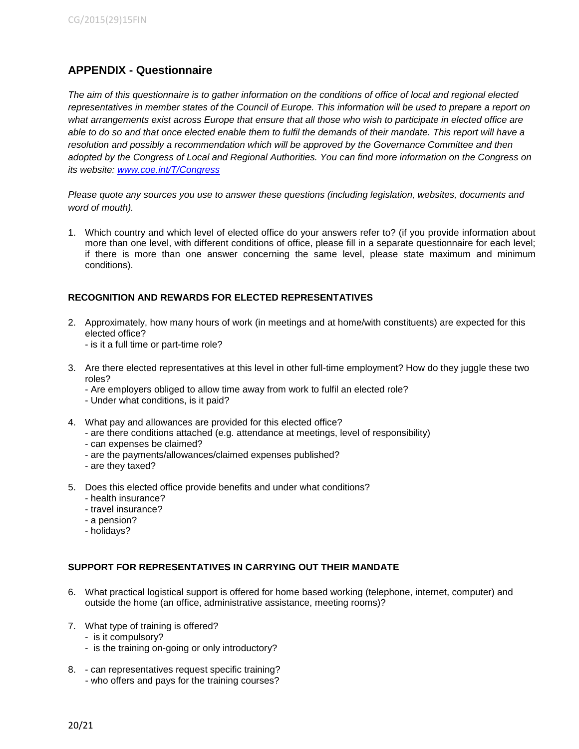# **APPENDIX - Questionnaire**

*The aim of this questionnaire is to gather information on the conditions of office of local and regional elected*  representatives in member states of the Council of Europe. This information will be used to prepare a report on *what arrangements exist across Europe that ensure that all those who wish to participate in elected office are able to do so and that once elected enable them to fulfil the demands of their mandate. This report will have a resolution and possibly a recommendation which will be approved by the Governance Committee and then adopted by the Congress of Local and Regional Authorities. You can find more information on the Congress on its website: [www.coe.int/T/Congress](http://www.coe.int/T/Congress)*

*Please quote any sources you use to answer these questions (including legislation, websites, documents and word of mouth).*

1. Which country and which level of elected office do your answers refer to? (if you provide information about more than one level, with different conditions of office, please fill in a separate questionnaire for each level; if there is more than one answer concerning the same level, please state maximum and minimum conditions).

# **RECOGNITION AND REWARDS FOR ELECTED REPRESENTATIVES**

- 2. Approximately, how many hours of work (in meetings and at home/with constituents) are expected for this elected office?
	- is it a full time or part-time role?
- 3. Are there elected representatives at this level in other full-time employment? How do they juggle these two roles?
	- Are employers obliged to allow time away from work to fulfil an elected role?
	- Under what conditions, is it paid?
- 4. What pay and allowances are provided for this elected office?
	- are there conditions attached (e.g. attendance at meetings, level of responsibility)
	- can expenses be claimed?
	- are the payments/allowances/claimed expenses published?
	- are they taxed?
- 5. Does this elected office provide benefits and under what conditions?
	- health insurance?
	- travel insurance?
	- a pension?
	- holidays?

# **SUPPORT FOR REPRESENTATIVES IN CARRYING OUT THEIR MANDATE**

- 6. What practical logistical support is offered for home based working (telephone, internet, computer) and outside the home (an office, administrative assistance, meeting rooms)?
- 7. What type of training is offered?
	- is it compulsory?
	- is the training on-going or only introductory?
- 8. can representatives request specific training?
	- who offers and pays for the training courses?